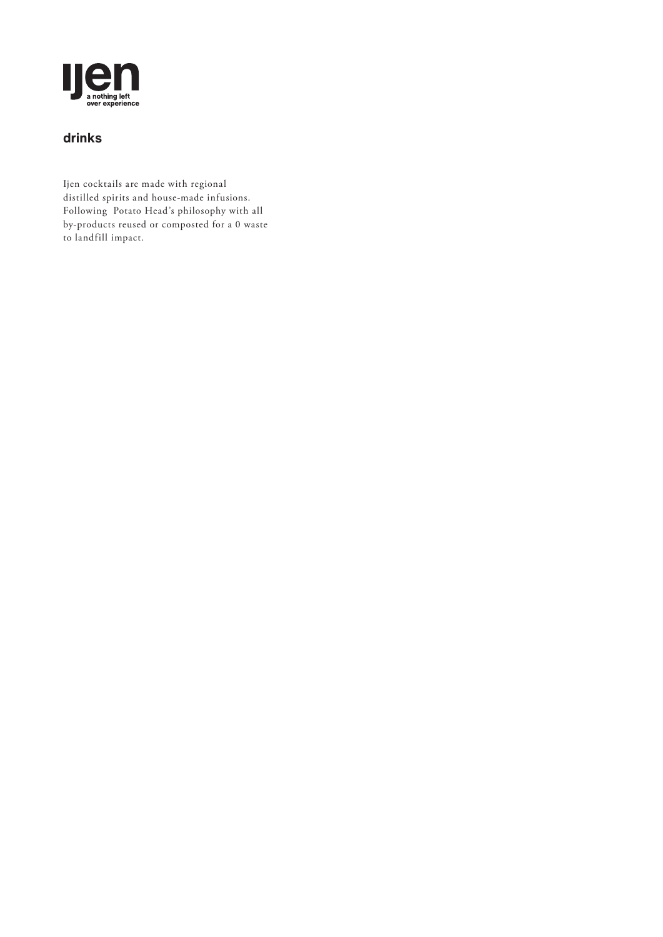

## **drinks**

Ijen cocktails are made with regional distilled spirits and house-made infusions. Following Potato Head's philosophy with all by-products reused or composted for a 0 waste to landfill impact.